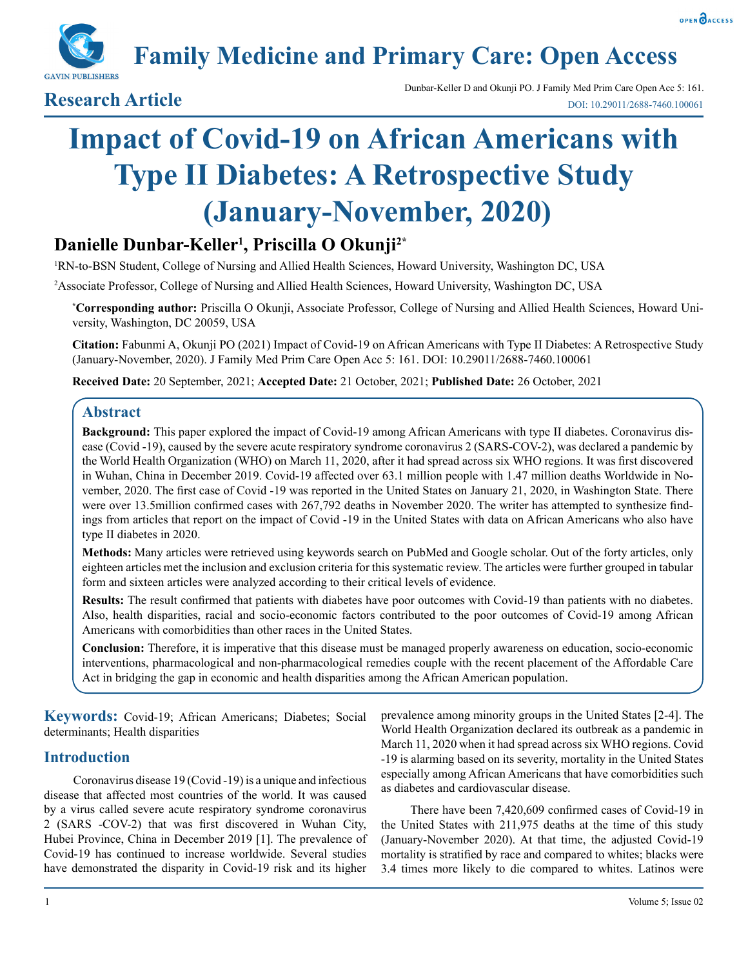

**Family Medicine and Primary Care: Open Access**

Dunbar-Keller D and Okunji PO. J Family Med Prim Care Open Acc 5: 161.<br>DOL: 10.29011/2688-7460 100061 DOI: 10.29011/2688-7460.100061

# **Impact of Covid-19 on African Americans with Type II Diabetes: A Retrospective Study (January-November, 2020)**

# **Danielle Dunbar-Keller1 , Priscilla O Okunji2\***

1 RN-to-BSN Student, College of Nursing and Allied Health Sciences, Howard University, Washington DC, USA

2 Associate Professor, College of Nursing and Allied Health Sciences, Howard University, Washington DC, USA

**\* Corresponding author:** Priscilla O Okunji, Associate Professor, College of Nursing and Allied Health Sciences, Howard University, Washington, DC 20059, USA

**Citation:** Fabunmi A, Okunji PO (2021) Impact of Covid-19 on African Americans with Type II Diabetes: A Retrospective Study (January-November, 2020). J Family Med Prim Care Open Acc 5: 161. DOI: 10.29011/2688-7460.100061

**Received Date:** 20 September, 2021; **Accepted Date:** 21 October, 2021; **Published Date:** 26 October, 2021

# **Abstract**

**Background:** This paper explored the impact of Covid-19 among African Americans with type II diabetes. Coronavirus disease (Covid -19), caused by the severe acute respiratory syndrome coronavirus 2 (SARS-COV-2), was declared a pandemic by the World Health Organization (WHO) on March 11, 2020, after it had spread across six WHO regions. It was first discovered in Wuhan, China in December 2019. Covid-19 affected over 63.1 million people with 1.47 million deaths Worldwide in November, 2020. The first case of Covid -19 was reported in the United States on January 21, 2020, in Washington State. There were over 13.5million confirmed cases with 267,792 deaths in November 2020. The writer has attempted to synthesize findings from articles that report on the impact of Covid -19 in the United States with data on African Americans who also have type II diabetes in 2020.

**Methods:** Many articles were retrieved using keywords search on PubMed and Google scholar. Out of the forty articles, only eighteen articles met the inclusion and exclusion criteria for this systematic review. The articles were further grouped in tabular form and sixteen articles were analyzed according to their critical levels of evidence.

**Results:** The result confirmed that patients with diabetes have poor outcomes with Covid-19 than patients with no diabetes. Also, health disparities, racial and socio-economic factors contributed to the poor outcomes of Covid-19 among African Americans with comorbidities than other races in the United States.

**Conclusion:** Therefore, it is imperative that this disease must be managed properly awareness on education, socio-economic interventions, pharmacological and non-pharmacological remedies couple with the recent placement of the Affordable Care Act in bridging the gap in economic and health disparities among the African American population.

**Keywords:** Covid-19; African Americans; Diabetes; Social determinants; Health disparities

# **Introduction**

Coronavirus disease 19 (Covid -19) is a unique and infectious disease that affected most countries of the world. It was caused by a virus called severe acute respiratory syndrome coronavirus 2 (SARS -COV-2) that was first discovered in Wuhan City, Hubei Province, China in December 2019 [1]. The prevalence of Covid-19 has continued to increase worldwide. Several studies have demonstrated the disparity in Covid-19 risk and its higher

prevalence among minority groups in the United States [2-4]. The World Health Organization declared its outbreak as a pandemic in March 11, 2020 when it had spread across six WHO regions. Covid -19 is alarming based on its severity, mortality in the United States especially among African Americans that have comorbidities such as diabetes and cardiovascular disease.

There have been 7,420,609 confirmed cases of Covid-19 in the United States with 211,975 deaths at the time of this study (January-November 2020). At that time, the adjusted Covid-19 mortality is stratified by race and compared to whites; blacks were 3.4 times more likely to die compared to whites. Latinos were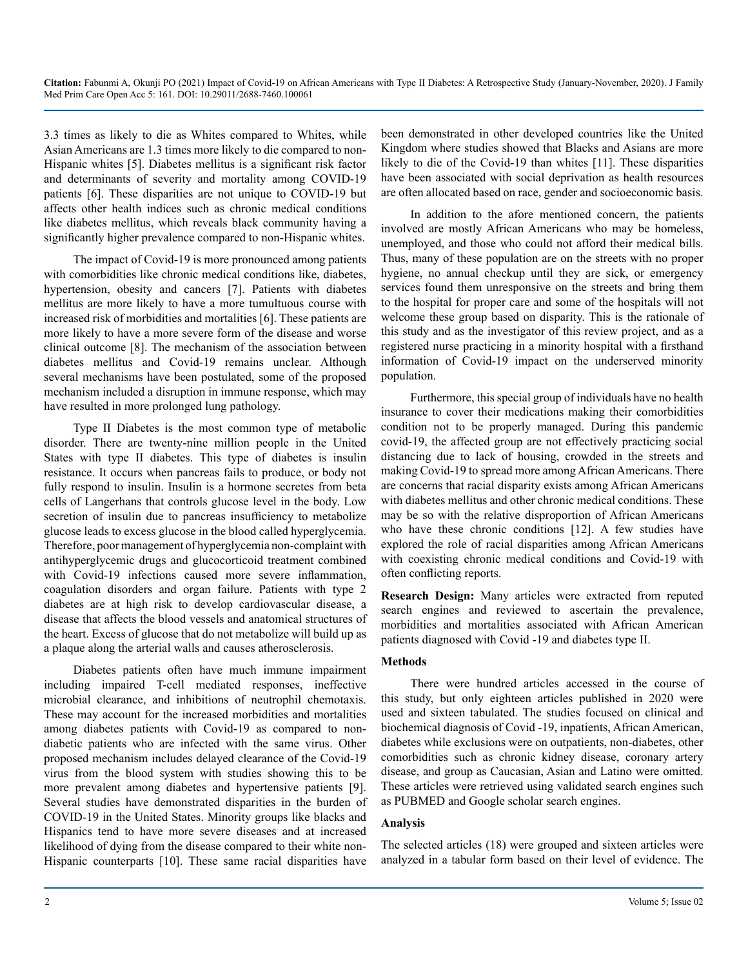3.3 times as likely to die as Whites compared to Whites, while Asian Americans are 1.3 times more likely to die compared to non-Hispanic whites [5]. Diabetes mellitus is a significant risk factor and determinants of severity and mortality among COVID-19 patients [6]. These disparities are not unique to COVID-19 but affects other health indices such as chronic medical conditions like diabetes mellitus, which reveals black community having a significantly higher prevalence compared to non-Hispanic whites.

The impact of Covid-19 is more pronounced among patients with comorbidities like chronic medical conditions like, diabetes, hypertension, obesity and cancers [7]. Patients with diabetes mellitus are more likely to have a more tumultuous course with increased risk of morbidities and mortalities [6]. These patients are more likely to have a more severe form of the disease and worse clinical outcome [8]. The mechanism of the association between diabetes mellitus and Covid-19 remains unclear. Although several mechanisms have been postulated, some of the proposed mechanism included a disruption in immune response, which may have resulted in more prolonged lung pathology.

Type II Diabetes is the most common type of metabolic disorder. There are twenty-nine million people in the United States with type II diabetes. This type of diabetes is insulin resistance. It occurs when pancreas fails to produce, or body not fully respond to insulin. Insulin is a hormone secretes from beta cells of Langerhans that controls glucose level in the body. Low secretion of insulin due to pancreas insufficiency to metabolize glucose leads to excess glucose in the blood called hyperglycemia. Therefore, poor management of hyperglycemia non-complaint with antihyperglycemic drugs and glucocorticoid treatment combined with Covid-19 infections caused more severe inflammation, coagulation disorders and organ failure. Patients with type 2 diabetes are at high risk to develop cardiovascular disease, a disease that affects the blood vessels and anatomical structures of the heart. Excess of glucose that do not metabolize will build up as a plaque along the arterial walls and causes atherosclerosis.

Diabetes patients often have much immune impairment including impaired T-cell mediated responses, ineffective microbial clearance, and inhibitions of neutrophil chemotaxis. These may account for the increased morbidities and mortalities among diabetes patients with Covid-19 as compared to nondiabetic patients who are infected with the same virus. Other proposed mechanism includes delayed clearance of the Covid-19 virus from the blood system with studies showing this to be more prevalent among diabetes and hypertensive patients [9]. Several studies have demonstrated disparities in the burden of COVID-19 in the United States. Minority groups like blacks and Hispanics tend to have more severe diseases and at increased likelihood of dying from the disease compared to their white non-Hispanic counterparts [10]. These same racial disparities have been demonstrated in other developed countries like the United Kingdom where studies showed that Blacks and Asians are more likely to die of the Covid-19 than whites [11]. These disparities have been associated with social deprivation as health resources are often allocated based on race, gender and socioeconomic basis.

In addition to the afore mentioned concern, the patients involved are mostly African Americans who may be homeless, unemployed, and those who could not afford their medical bills. Thus, many of these population are on the streets with no proper hygiene, no annual checkup until they are sick, or emergency services found them unresponsive on the streets and bring them to the hospital for proper care and some of the hospitals will not welcome these group based on disparity. This is the rationale of this study and as the investigator of this review project, and as a registered nurse practicing in a minority hospital with a firsthand information of Covid-19 impact on the underserved minority population.

Furthermore, this special group of individuals have no health insurance to cover their medications making their comorbidities condition not to be properly managed. During this pandemic covid-19, the affected group are not effectively practicing social distancing due to lack of housing, crowded in the streets and making Covid-19 to spread more among African Americans. There are concerns that racial disparity exists among African Americans with diabetes mellitus and other chronic medical conditions. These may be so with the relative disproportion of African Americans who have these chronic conditions [12]. A few studies have explored the role of racial disparities among African Americans with coexisting chronic medical conditions and Covid-19 with often conflicting reports.

**Research Design:** Many articles were extracted from reputed search engines and reviewed to ascertain the prevalence, morbidities and mortalities associated with African American patients diagnosed with Covid -19 and diabetes type II.

#### **Methods**

There were hundred articles accessed in the course of this study, but only eighteen articles published in 2020 were used and sixteen tabulated. The studies focused on clinical and biochemical diagnosis of Covid -19, inpatients, African American, diabetes while exclusions were on outpatients, non-diabetes, other comorbidities such as chronic kidney disease, coronary artery disease, and group as Caucasian, Asian and Latino were omitted. These articles were retrieved using validated search engines such as PUBMED and Google scholar search engines.

#### **Analysis**

The selected articles (18) were grouped and sixteen articles were analyzed in a tabular form based on their level of evidence. The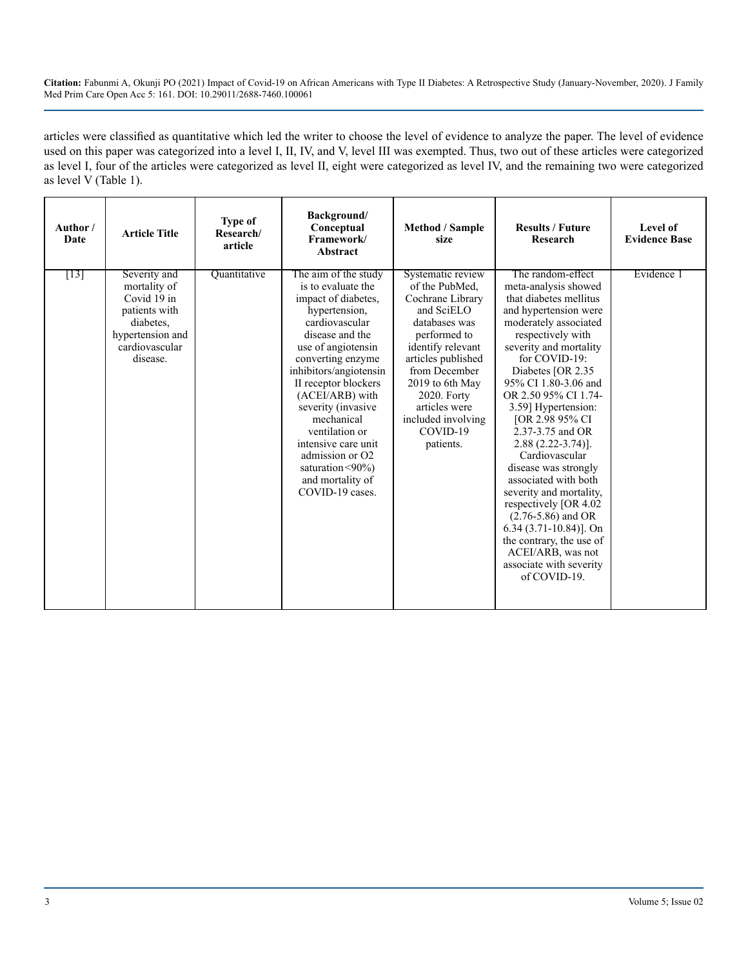articles were classified as quantitative which led the writer to choose the level of evidence to analyze the paper. The level of evidence used on this paper was categorized into a level I, II, IV, and V, level III was exempted. Thus, two out of these articles were categorized as level I, four of the articles were categorized as level II, eight were categorized as level IV, and the remaining two were categorized as level V (Table 1).

| Author/<br>Date | <b>Article Title</b>                                                                                                        | <b>Type of</b><br>Research/<br>article | Background/<br>Conceptual<br>Framework/<br>Abstract                                                                                                                                                                                                                                                                                                                                                        | <b>Method</b> / Sample<br>size                                                                                                                                                                                                                                       | <b>Results / Future</b><br>Research                                                                                                                                                                                                                                                                                                                                                                                                                                                                                                                                                                                       | Level of<br><b>Evidence Base</b> |
|-----------------|-----------------------------------------------------------------------------------------------------------------------------|----------------------------------------|------------------------------------------------------------------------------------------------------------------------------------------------------------------------------------------------------------------------------------------------------------------------------------------------------------------------------------------------------------------------------------------------------------|----------------------------------------------------------------------------------------------------------------------------------------------------------------------------------------------------------------------------------------------------------------------|---------------------------------------------------------------------------------------------------------------------------------------------------------------------------------------------------------------------------------------------------------------------------------------------------------------------------------------------------------------------------------------------------------------------------------------------------------------------------------------------------------------------------------------------------------------------------------------------------------------------------|----------------------------------|
| $[13]$          | Severity and<br>mortality of<br>Covid 19 in<br>patients with<br>diabetes.<br>hypertension and<br>cardiovascular<br>disease. | Quantitative                           | The aim of the study<br>is to evaluate the<br>impact of diabetes,<br>hypertension.<br>cardiovascular<br>disease and the<br>use of angiotensin<br>converting enzyme<br>inhibitors/angiotensin<br>II receptor blockers<br>(ACEI/ARB) with<br>severity (invasive<br>mechanical<br>ventilation or<br>intensive care unit<br>admission or O2<br>saturation $\leq 90\%$ )<br>and mortality of<br>COVID-19 cases. | Systematic review<br>of the PubMed.<br>Cochrane Library<br>and SciELO<br>databases was<br>performed to<br>identify relevant<br>articles published<br>from December<br>2019 to 6th May<br>2020. Forty<br>articles were<br>included involving<br>COVID-19<br>patients. | The random-effect<br>meta-analysis showed<br>that diabetes mellitus<br>and hypertension were<br>moderately associated<br>respectively with<br>severity and mortality<br>for COVID-19:<br>Diabetes [OR 2.35]<br>95% CI 1.80-3.06 and<br>OR 2.50 95% CI 1.74-<br>3.59] Hypertension:<br>[OR 2.98 95% CI<br>2.37-3.75 and OR<br>$2.88(2.22-3.74)$ ].<br>Cardiovascular<br>disease was strongly<br>associated with both<br>severity and mortality,<br>respectively [OR 4.02<br>$(2.76 - 5.86)$ and OR<br>$6.34$ (3.71-10.84)]. On<br>the contrary, the use of<br>ACEI/ARB, was not<br>associate with severity<br>of COVID-19. | Evidence 1                       |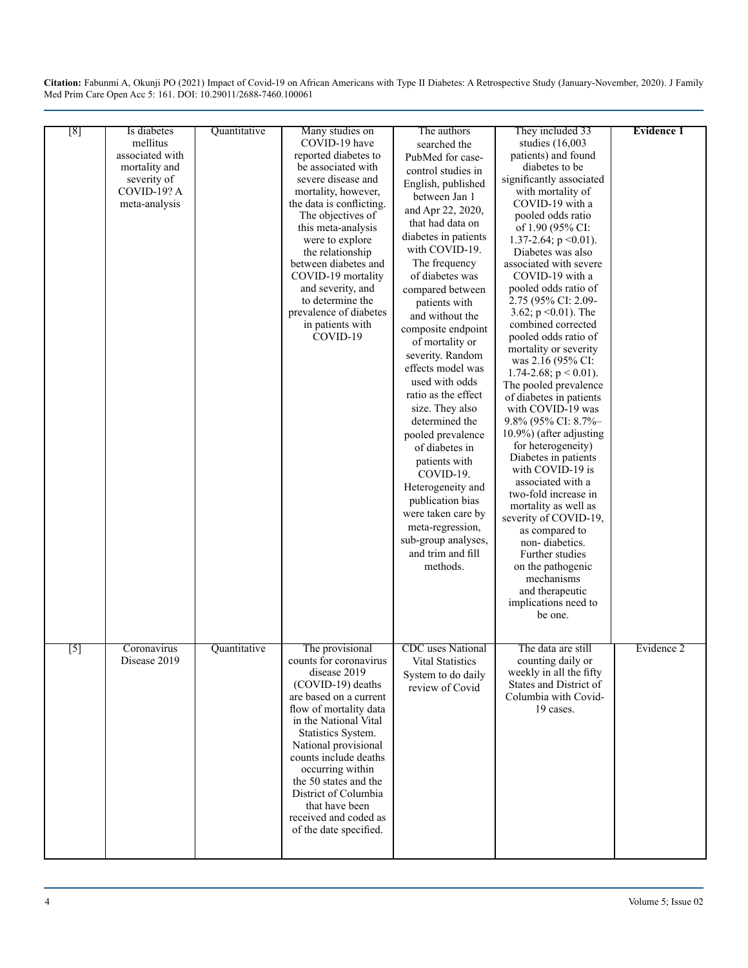|                     | Is diabetes     |              | Many studies on          | The authors              | They included 33                         | <b>Evidence 1</b> |
|---------------------|-----------------|--------------|--------------------------|--------------------------|------------------------------------------|-------------------|
| $^{[8]}$            | mellitus        | Quantitative | COVID-19 have            | searched the             | studies (16,003                          |                   |
|                     | associated with |              | reported diabetes to     | PubMed for case-         | patients) and found                      |                   |
|                     | mortality and   |              | be associated with       |                          | diabetes to be                           |                   |
|                     | severity of     |              | severe disease and       | control studies in       | significantly associated                 |                   |
|                     | COVID-19? A     |              | mortality, however,      | English, published       | with mortality of                        |                   |
|                     | meta-analysis   |              | the data is conflicting. | between Jan 1            | COVID-19 with a                          |                   |
|                     |                 |              | The objectives of        | and Apr 22, 2020,        | pooled odds ratio                        |                   |
|                     |                 |              | this meta-analysis       | that had data on         | of 1.90 (95% CI:                         |                   |
|                     |                 |              | were to explore          | diabetes in patients     | 1.37-2.64; $p \le 0.01$ ).               |                   |
|                     |                 |              | the relationship         | with COVID-19.           | Diabetes was also                        |                   |
|                     |                 |              | between diabetes and     | The frequency            | associated with severe                   |                   |
|                     |                 |              | COVID-19 mortality       | of diabetes was          | COVID-19 with a                          |                   |
|                     |                 |              | and severity, and        | compared between         | pooled odds ratio of                     |                   |
|                     |                 |              | to determine the         | patients with            | 2.75 (95% CI: 2.09-                      |                   |
|                     |                 |              | prevalence of diabetes   | and without the          | 3.62; $p \le 0.01$ ). The                |                   |
|                     |                 |              | in patients with         | composite endpoint       | combined corrected                       |                   |
|                     |                 |              | COVID-19                 | of mortality or          | pooled odds ratio of                     |                   |
|                     |                 |              |                          | severity. Random         | mortality or severity                    |                   |
|                     |                 |              |                          | effects model was        | was 2.16 (95% CI:                        |                   |
|                     |                 |              |                          | used with odds           | 1.74-2.68; $p < 0.01$ ).                 |                   |
|                     |                 |              |                          | ratio as the effect      | The pooled prevalence                    |                   |
|                     |                 |              |                          |                          | of diabetes in patients                  |                   |
|                     |                 |              |                          | size. They also          | with COVID-19 was                        |                   |
|                     |                 |              |                          | determined the           | 9.8% (95% CI: 8.7%-                      |                   |
|                     |                 |              |                          | pooled prevalence        | 10.9%) (after adjusting                  |                   |
|                     |                 |              |                          | of diabetes in           | for heterogeneity)                       |                   |
|                     |                 |              |                          | patients with            | Diabetes in patients<br>with COVID-19 is |                   |
|                     |                 |              |                          | COVID-19.                | associated with a                        |                   |
|                     |                 |              |                          | Heterogeneity and        | two-fold increase in                     |                   |
|                     |                 |              |                          | publication bias         | mortality as well as                     |                   |
|                     |                 |              |                          | were taken care by       | severity of COVID-19,                    |                   |
|                     |                 |              |                          | meta-regression,         | as compared to                           |                   |
|                     |                 |              |                          | sub-group analyses,      | non-diabetics.                           |                   |
|                     |                 |              |                          | and trim and fill        | Further studies                          |                   |
|                     |                 |              |                          | methods.                 | on the pathogenic                        |                   |
|                     |                 |              |                          |                          | mechanisms                               |                   |
|                     |                 |              |                          |                          | and therapeutic                          |                   |
|                     |                 |              |                          |                          | implications need to                     |                   |
|                     |                 |              |                          |                          | be one.                                  |                   |
|                     |                 |              |                          |                          |                                          |                   |
|                     |                 |              |                          |                          |                                          |                   |
| $\lbrack 5 \rbrack$ | Coronavirus     | Quantitative | The provisional          | <b>CDC</b> uses National | The data are still                       | Evidence 2        |
|                     | Disease 2019    |              | counts for coronavirus   | <b>Vital Statistics</b>  | counting daily or                        |                   |
|                     |                 |              | disease 2019             | System to do daily       | weekly in all the fifty                  |                   |
|                     |                 |              | (COVID-19) deaths        | review of Covid          | States and District of                   |                   |
|                     |                 |              | are based on a current   |                          | Columbia with Covid-                     |                   |
|                     |                 |              | flow of mortality data   |                          | 19 cases.                                |                   |
|                     |                 |              | in the National Vital    |                          |                                          |                   |
|                     |                 |              | Statistics System.       |                          |                                          |                   |
|                     |                 |              | National provisional     |                          |                                          |                   |
|                     |                 |              | counts include deaths    |                          |                                          |                   |
|                     |                 |              | occurring within         |                          |                                          |                   |
|                     |                 |              | the 50 states and the    |                          |                                          |                   |
|                     |                 |              | District of Columbia     |                          |                                          |                   |
|                     |                 |              | that have been           |                          |                                          |                   |
|                     |                 |              | received and coded as    |                          |                                          |                   |
|                     |                 |              | of the date specified.   |                          |                                          |                   |
|                     |                 |              |                          |                          |                                          |                   |
|                     |                 |              |                          |                          |                                          |                   |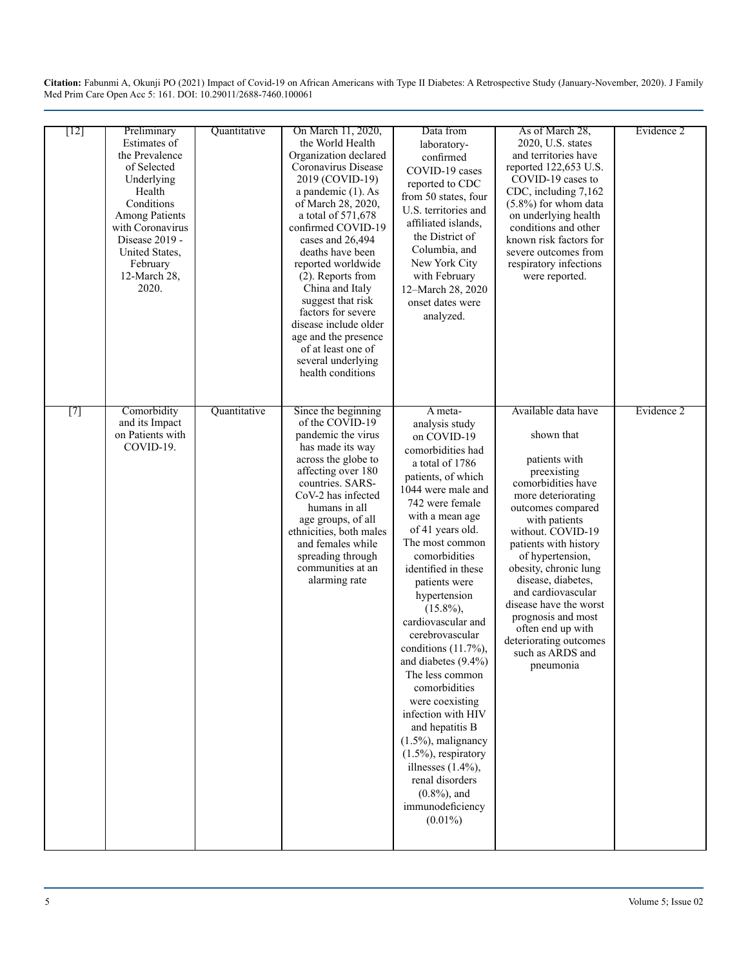| $[12]$ | Preliminary<br>Estimates of<br>the Prevalence<br>of Selected<br>Underlying<br>Health<br>Conditions<br>Among Patients<br>with Coronavirus<br>Disease 2019 -<br>United States,<br>February<br>12-March 28,<br>2020. | Quantitative | On March 11, 2020,<br>the World Health<br>Organization declared<br>Coronavirus Disease<br>2019 (COVID-19)<br>a pandemic (1). As<br>of March 28, 2020,<br>a total of 571,678<br>confirmed COVID-19<br>cases and 26,494<br>deaths have been<br>reported worldwide<br>(2). Reports from<br>China and Italy<br>suggest that risk<br>factors for severe | Data from<br>laboratory-<br>confirmed<br>COVID-19 cases<br>reported to CDC<br>from 50 states, four<br>U.S. territories and<br>affiliated islands,<br>the District of<br>Columbia, and<br>New York City<br>with February<br>12-March 28, 2020<br>onset dates were<br>analyzed.                                                                                                                                                                                                                                                                                                                                                                        | As of March 28,<br>2020, U.S. states<br>and territories have<br>reported 122,653 U.S.<br>COVID-19 cases to<br>CDC, including 7,162<br>$(5.8\%)$ for whom data<br>on underlying health<br>conditions and other<br>known risk factors for<br>severe outcomes from<br>respiratory infections<br>were reported.                                                                                                                | Evidence 2 |
|--------|-------------------------------------------------------------------------------------------------------------------------------------------------------------------------------------------------------------------|--------------|----------------------------------------------------------------------------------------------------------------------------------------------------------------------------------------------------------------------------------------------------------------------------------------------------------------------------------------------------|------------------------------------------------------------------------------------------------------------------------------------------------------------------------------------------------------------------------------------------------------------------------------------------------------------------------------------------------------------------------------------------------------------------------------------------------------------------------------------------------------------------------------------------------------------------------------------------------------------------------------------------------------|----------------------------------------------------------------------------------------------------------------------------------------------------------------------------------------------------------------------------------------------------------------------------------------------------------------------------------------------------------------------------------------------------------------------------|------------|
|        |                                                                                                                                                                                                                   |              | disease include older<br>age and the presence<br>of at least one of<br>several underlying<br>health conditions                                                                                                                                                                                                                                     |                                                                                                                                                                                                                                                                                                                                                                                                                                                                                                                                                                                                                                                      |                                                                                                                                                                                                                                                                                                                                                                                                                            |            |
| [7]    | Comorbidity<br>and its Impact<br>on Patients with<br>COVID-19.                                                                                                                                                    | Quantitative | Since the beginning<br>of the COVID-19<br>pandemic the virus<br>has made its way<br>across the globe to<br>affecting over 180<br>countries. SARS-<br>CoV-2 has infected<br>humans in all<br>age groups, of all<br>ethnicities, both males<br>and females while<br>spreading through<br>communities at an<br>alarming rate                          | A meta-<br>analysis study<br>on COVID-19<br>comorbidities had<br>a total of 1786<br>patients, of which<br>1044 were male and<br>742 were female<br>with a mean age<br>of 41 years old.<br>The most common<br>comorbidities<br>identified in these<br>patients were<br>hypertension<br>$(15.8\%)$<br>cardiovascular and<br>cerebrovascular<br>conditions $(11.7\%)$ ,<br>and diabetes $(9.4\%)$<br>The less common<br>comorbidities<br>were coexisting<br>infection with HIV<br>and hepatitis B<br>$(1.5\%)$ , malignancy<br>$(1.5\%)$ , respiratory<br>illnesses $(1.4\%)$ ,<br>renal disorders<br>$(0.8\%)$ , and<br>immunodeficiency<br>$(0.01\%)$ | Available data have<br>shown that<br>patients with<br>preexisting<br>comorbidities have<br>more deteriorating<br>outcomes compared<br>with patients<br>without. COVID-19<br>patients with history<br>of hypertension,<br>obesity, chronic lung<br>disease, diabetes,<br>and cardiovascular<br>disease have the worst<br>prognosis and most<br>often end up with<br>deteriorating outcomes<br>such as ARDS and<br>pneumonia | Evidence 2 |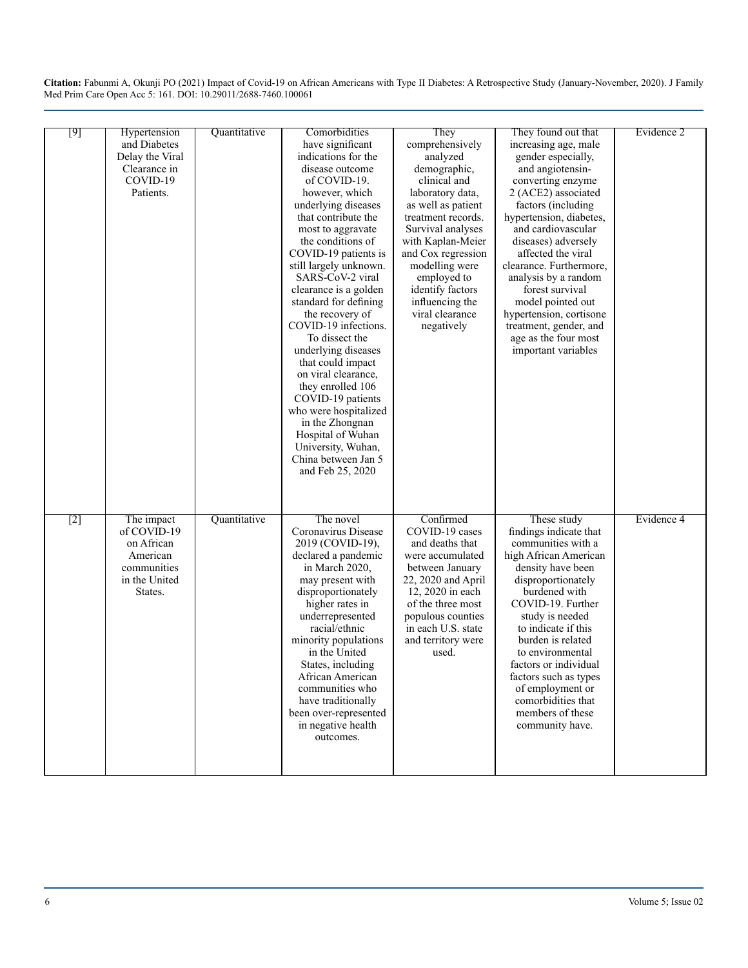|                                                                                                                                                                                                                                                                                                                    |                              | Quantitative | Comorbidities                             |                         |                                                |            |
|--------------------------------------------------------------------------------------------------------------------------------------------------------------------------------------------------------------------------------------------------------------------------------------------------------------------|------------------------------|--------------|-------------------------------------------|-------------------------|------------------------------------------------|------------|
| $[9] % \begin{subfigure}[t]{0.45\textwidth} \includegraphics[width=\textwidth]{figures/fig_10.pdf} \caption{The 3D (top) of the 3D (bottom) of the 3D (bottom) of the 3D (bottom) of the 3D (bottom) of the 3D (bottom) of the 3D (bottom) of the 3D (bottom).} \label{fig:expan} \end{subfigure} \vspace{-1.5mm}$ | Hypertension<br>and Diabetes |              | have significant                          | They<br>comprehensively | They found out that<br>increasing age, male    | Evidence 2 |
|                                                                                                                                                                                                                                                                                                                    | Delay the Viral              |              | indications for the                       | analyzed                | gender especially,                             |            |
|                                                                                                                                                                                                                                                                                                                    | Clearance in                 |              | disease outcome                           | demographic,            | and angiotensin-                               |            |
|                                                                                                                                                                                                                                                                                                                    | COVID-19                     |              | of COVID-19.                              | clinical and            | converting enzyme                              |            |
|                                                                                                                                                                                                                                                                                                                    | Patients.                    |              | however, which                            | laboratory data,        | 2 (ACE2) associated                            |            |
|                                                                                                                                                                                                                                                                                                                    |                              |              | underlying diseases                       | as well as patient      | factors (including                             |            |
|                                                                                                                                                                                                                                                                                                                    |                              |              | that contribute the                       | treatment records.      | hypertension, diabetes,                        |            |
|                                                                                                                                                                                                                                                                                                                    |                              |              | most to aggravate                         | Survival analyses       | and cardiovascular                             |            |
|                                                                                                                                                                                                                                                                                                                    |                              |              | the conditions of                         | with Kaplan-Meier       | diseases) adversely                            |            |
|                                                                                                                                                                                                                                                                                                                    |                              |              | COVID-19 patients is                      | and Cox regression      | affected the viral                             |            |
|                                                                                                                                                                                                                                                                                                                    |                              |              | still largely unknown.                    | modelling were          | clearance. Furthermore,                        |            |
|                                                                                                                                                                                                                                                                                                                    |                              |              | SARS-CoV-2 viral                          | employed to             | analysis by a random                           |            |
|                                                                                                                                                                                                                                                                                                                    |                              |              | clearance is a golden                     | identify factors        | forest survival                                |            |
|                                                                                                                                                                                                                                                                                                                    |                              |              | standard for defining                     | influencing the         | model pointed out                              |            |
|                                                                                                                                                                                                                                                                                                                    |                              |              | the recovery of                           | viral clearance         | hypertension, cortisone                        |            |
|                                                                                                                                                                                                                                                                                                                    |                              |              | COVID-19 infections.                      | negatively              | treatment, gender, and                         |            |
|                                                                                                                                                                                                                                                                                                                    |                              |              | To dissect the                            |                         | age as the four most                           |            |
|                                                                                                                                                                                                                                                                                                                    |                              |              | underlying diseases                       |                         | important variables                            |            |
|                                                                                                                                                                                                                                                                                                                    |                              |              | that could impact                         |                         |                                                |            |
|                                                                                                                                                                                                                                                                                                                    |                              |              | on viral clearance,                       |                         |                                                |            |
|                                                                                                                                                                                                                                                                                                                    |                              |              | they enrolled 106                         |                         |                                                |            |
|                                                                                                                                                                                                                                                                                                                    |                              |              | COVID-19 patients                         |                         |                                                |            |
|                                                                                                                                                                                                                                                                                                                    |                              |              | who were hospitalized                     |                         |                                                |            |
|                                                                                                                                                                                                                                                                                                                    |                              |              | in the Zhongnan                           |                         |                                                |            |
|                                                                                                                                                                                                                                                                                                                    |                              |              | Hospital of Wuhan                         |                         |                                                |            |
|                                                                                                                                                                                                                                                                                                                    |                              |              | University, Wuhan,<br>China between Jan 5 |                         |                                                |            |
|                                                                                                                                                                                                                                                                                                                    |                              |              | and Feb 25, 2020                          |                         |                                                |            |
|                                                                                                                                                                                                                                                                                                                    |                              |              |                                           |                         |                                                |            |
|                                                                                                                                                                                                                                                                                                                    |                              |              |                                           |                         |                                                |            |
|                                                                                                                                                                                                                                                                                                                    |                              |              |                                           |                         |                                                |            |
| $[2]$                                                                                                                                                                                                                                                                                                              | The impact                   | Quantitative | The novel                                 | Confirmed               | These study                                    | Evidence 4 |
|                                                                                                                                                                                                                                                                                                                    | of COVID-19                  |              | Coronavirus Disease                       | COVID-19 cases          | findings indicate that                         |            |
|                                                                                                                                                                                                                                                                                                                    | on African                   |              | 2019 (COVID-19),                          | and deaths that         | communities with a                             |            |
|                                                                                                                                                                                                                                                                                                                    | American                     |              | declared a pandemic                       | were accumulated        | high African American                          |            |
|                                                                                                                                                                                                                                                                                                                    | communities                  |              | in March 2020,                            | between January         | density have been                              |            |
|                                                                                                                                                                                                                                                                                                                    | in the United                |              | may present with                          | 22, 2020 and April      | disproportionately                             |            |
|                                                                                                                                                                                                                                                                                                                    | States.                      |              | disproportionately                        | 12, 2020 in each        | burdened with                                  |            |
|                                                                                                                                                                                                                                                                                                                    |                              |              | higher rates in                           | of the three most       | COVID-19. Further                              |            |
|                                                                                                                                                                                                                                                                                                                    |                              |              | underrepresented                          | populous counties       | study is needed                                |            |
|                                                                                                                                                                                                                                                                                                                    |                              |              | racial/ethnic                             | in each U.S. state      | to indicate if this                            |            |
|                                                                                                                                                                                                                                                                                                                    |                              |              | minority populations                      | and territory were      | burden is related                              |            |
|                                                                                                                                                                                                                                                                                                                    |                              |              | in the United                             | used.                   | to environmental                               |            |
|                                                                                                                                                                                                                                                                                                                    |                              |              | States, including<br>African American     |                         | factors or individual<br>factors such as types |            |
|                                                                                                                                                                                                                                                                                                                    |                              |              | communities who                           |                         | of employment or                               |            |
|                                                                                                                                                                                                                                                                                                                    |                              |              | have traditionally                        |                         | comorbidities that                             |            |
|                                                                                                                                                                                                                                                                                                                    |                              |              | been over-represented                     |                         | members of these                               |            |
|                                                                                                                                                                                                                                                                                                                    |                              |              | in negative health                        |                         | community have.                                |            |
|                                                                                                                                                                                                                                                                                                                    |                              |              | outcomes.                                 |                         |                                                |            |
|                                                                                                                                                                                                                                                                                                                    |                              |              |                                           |                         |                                                |            |
|                                                                                                                                                                                                                                                                                                                    |                              |              |                                           |                         |                                                |            |
|                                                                                                                                                                                                                                                                                                                    |                              |              |                                           |                         |                                                |            |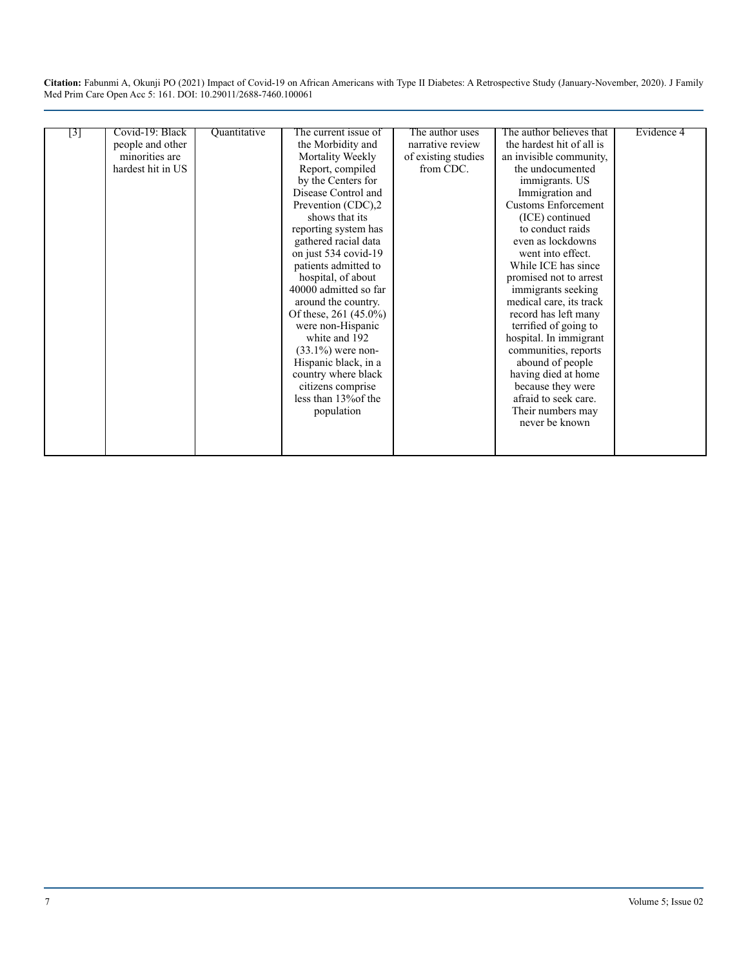| $\lceil 3 \rceil$ | Covid-19: Black   | Quantitative | The current issue of     | The author uses     | The author believes that   | Evidence 4 |
|-------------------|-------------------|--------------|--------------------------|---------------------|----------------------------|------------|
|                   | people and other  |              | the Morbidity and        | narrative review    | the hardest hit of all is  |            |
|                   | minorities are    |              | Mortality Weekly         | of existing studies | an invisible community,    |            |
|                   | hardest hit in US |              | Report, compiled         | from CDC.           | the undocumented           |            |
|                   |                   |              | by the Centers for       |                     | immigrants. US             |            |
|                   |                   |              | Disease Control and      |                     | Immigration and            |            |
|                   |                   |              | Prevention (CDC),2       |                     | <b>Customs Enforcement</b> |            |
|                   |                   |              | shows that its           |                     | (ICE) continued            |            |
|                   |                   |              | reporting system has     |                     | to conduct raids           |            |
|                   |                   |              | gathered racial data     |                     | even as lockdowns          |            |
|                   |                   |              | on just 534 covid-19     |                     | went into effect.          |            |
|                   |                   |              | patients admitted to     |                     | While ICE has since        |            |
|                   |                   |              | hospital, of about       |                     | promised not to arrest     |            |
|                   |                   |              | 40000 admitted so far    |                     | immigrants seeking         |            |
|                   |                   |              | around the country.      |                     | medical care, its track    |            |
|                   |                   |              | Of these, $261 (45.0\%)$ |                     | record has left many       |            |
|                   |                   |              | were non-Hispanic        |                     | terrified of going to      |            |
|                   |                   |              | white and 192            |                     | hospital. In immigrant     |            |
|                   |                   |              | $(33.1\%)$ were non-     |                     | communities, reports       |            |
|                   |                   |              | Hispanic black, in a     |                     | abound of people           |            |
|                   |                   |              | country where black      |                     | having died at home        |            |
|                   |                   |              | citizens comprise        |                     | because they were          |            |
|                   |                   |              | less than 13% of the     |                     | afraid to seek care.       |            |
|                   |                   |              | population               |                     | Their numbers may          |            |
|                   |                   |              |                          |                     | never be known             |            |
|                   |                   |              |                          |                     |                            |            |
|                   |                   |              |                          |                     |                            |            |
|                   |                   |              |                          |                     |                            |            |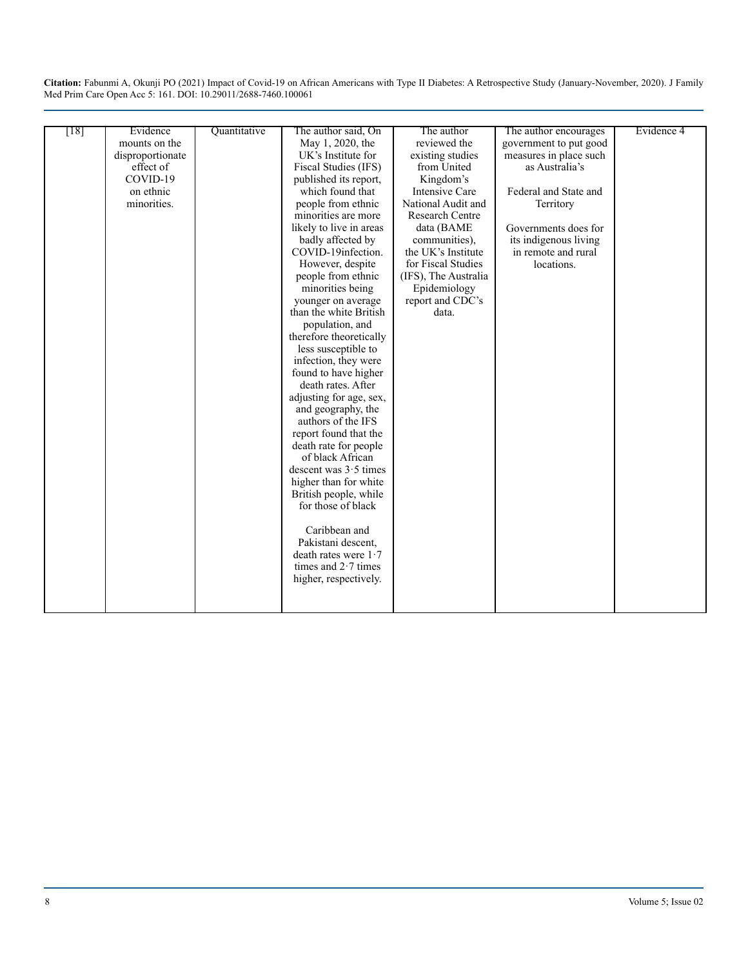| [18] | Evidence         | Quantitative | The author said, On           | The author             | The author encourages  | Evidence 4 |
|------|------------------|--------------|-------------------------------|------------------------|------------------------|------------|
|      | mounts on the    |              | May 1, 2020, the              | reviewed the           | government to put good |            |
|      | disproportionate |              | UK's Institute for            | existing studies       | measures in place such |            |
|      | effect of        |              | Fiscal Studies (IFS)          | from United            | as Australia's         |            |
|      | COVID-19         |              | published its report,         | Kingdom's              |                        |            |
|      | on ethnic        |              | which found that              | <b>Intensive Care</b>  | Federal and State and  |            |
|      | minorities.      |              | people from ethnic            | National Audit and     | Territory              |            |
|      |                  |              | minorities are more           | <b>Research Centre</b> |                        |            |
|      |                  |              | likely to live in areas       | data (BAME             | Governments does for   |            |
|      |                  |              | badly affected by             | communities),          | its indigenous living  |            |
|      |                  |              | COVID-19infection.            | the UK's Institute     | in remote and rural    |            |
|      |                  |              | However, despite              | for Fiscal Studies     | locations.             |            |
|      |                  |              | people from ethnic            | (IFS), The Australia   |                        |            |
|      |                  |              | minorities being              | Epidemiology           |                        |            |
|      |                  |              | younger on average            | report and CDC's       |                        |            |
|      |                  |              | than the white British        | data.                  |                        |            |
|      |                  |              | population, and               |                        |                        |            |
|      |                  |              | therefore theoretically       |                        |                        |            |
|      |                  |              | less susceptible to           |                        |                        |            |
|      |                  |              | infection, they were          |                        |                        |            |
|      |                  |              | found to have higher          |                        |                        |            |
|      |                  |              | death rates. After            |                        |                        |            |
|      |                  |              | adjusting for age, sex,       |                        |                        |            |
|      |                  |              | and geography, the            |                        |                        |            |
|      |                  |              | authors of the IFS            |                        |                        |            |
|      |                  |              | report found that the         |                        |                        |            |
|      |                  |              | death rate for people         |                        |                        |            |
|      |                  |              | of black African              |                        |                        |            |
|      |                  |              | descent was $3 \cdot 5$ times |                        |                        |            |
|      |                  |              | higher than for white         |                        |                        |            |
|      |                  |              | British people, while         |                        |                        |            |
|      |                  |              | for those of black            |                        |                        |            |
|      |                  |              |                               |                        |                        |            |
|      |                  |              | Caribbean and                 |                        |                        |            |
|      |                  |              | Pakistani descent,            |                        |                        |            |
|      |                  |              | death rates were $1.7$        |                        |                        |            |
|      |                  |              | times and $2 \cdot 7$ times   |                        |                        |            |
|      |                  |              | higher, respectively.         |                        |                        |            |
|      |                  |              |                               |                        |                        |            |
|      |                  |              |                               |                        |                        |            |
|      |                  |              |                               |                        |                        |            |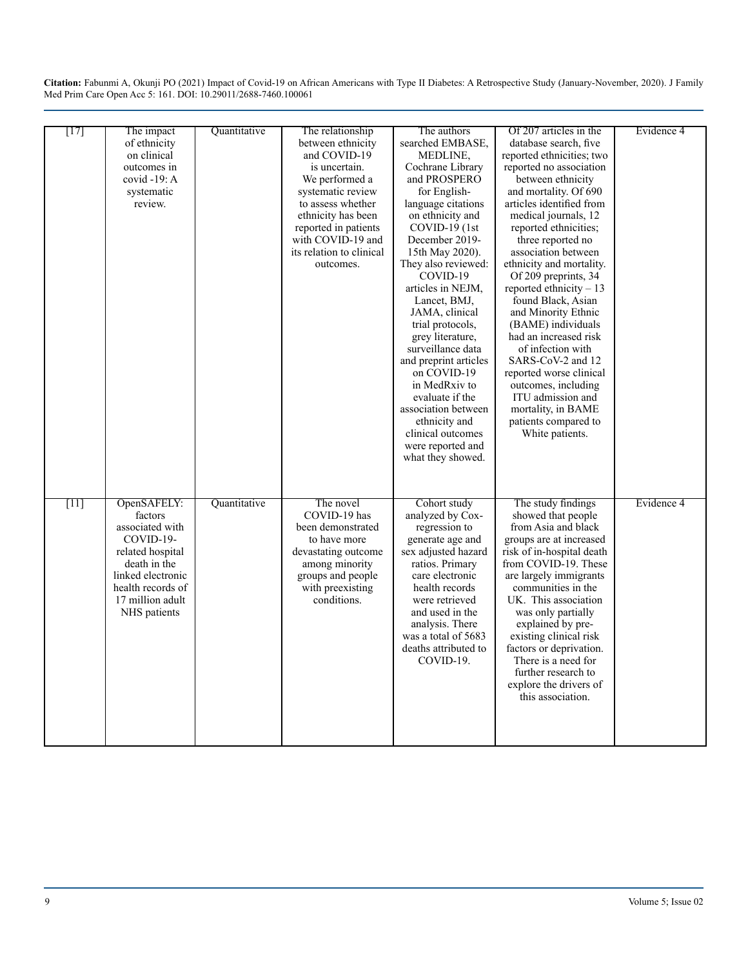| [17]   | The impact<br>of ethnicity<br>on clinical<br>outcomes in<br>covid $-19: A$<br>systematic<br>review.                                                                      | Quantitative | The relationship<br>between ethnicity<br>and COVID-19<br>is uncertain.<br>We performed a<br>systematic review<br>to assess whether<br>ethnicity has been<br>reported in patients<br>with COVID-19 and<br>its relation to clinical<br>outcomes. | The authors<br>searched EMBASE,<br>MEDLINE,<br>Cochrane Library<br>and PROSPERO<br>for English-<br>language citations<br>on ethnicity and<br>$COVID-19$ (1st<br>December 2019-<br>15th May 2020).<br>They also reviewed:<br>COVID-19<br>articles in NEJM,<br>Lancet, BMJ,<br>JAMA, clinical<br>trial protocols,<br>grey literature,<br>surveillance data<br>and preprint articles<br>on COVID-19<br>in MedRxiv to<br>evaluate if the<br>association between<br>ethnicity and<br>clinical outcomes<br>were reported and<br>what they showed. | Of 207 articles in the<br>database search, five<br>reported ethnicities; two<br>reported no association<br>between ethnicity<br>and mortality. Of 690<br>articles identified from<br>medical journals, 12<br>reported ethnicities;<br>three reported no<br>association between<br>ethnicity and mortality.<br>Of 209 preprints, 34<br>reported ethnicity $-13$<br>found Black, Asian<br>and Minority Ethnic<br>(BAME) individuals<br>had an increased risk<br>of infection with<br>SARS-CoV-2 and 12<br>reported worse clinical<br>outcomes, including<br>ITU admission and<br>mortality, in BAME<br>patients compared to<br>White patients. | Evidence 4 |
|--------|--------------------------------------------------------------------------------------------------------------------------------------------------------------------------|--------------|------------------------------------------------------------------------------------------------------------------------------------------------------------------------------------------------------------------------------------------------|---------------------------------------------------------------------------------------------------------------------------------------------------------------------------------------------------------------------------------------------------------------------------------------------------------------------------------------------------------------------------------------------------------------------------------------------------------------------------------------------------------------------------------------------|----------------------------------------------------------------------------------------------------------------------------------------------------------------------------------------------------------------------------------------------------------------------------------------------------------------------------------------------------------------------------------------------------------------------------------------------------------------------------------------------------------------------------------------------------------------------------------------------------------------------------------------------|------------|
| $[11]$ | OpenSAFELY:<br>factors<br>associated with<br>COVID-19-<br>related hospital<br>death in the<br>linked electronic<br>health records of<br>17 million adult<br>NHS patients | Quantitative | The novel<br>COVID-19 has<br>been demonstrated<br>to have more<br>devastating outcome<br>among minority<br>groups and people<br>with preexisting<br>conditions.                                                                                | Cohort study<br>analyzed by Cox-<br>regression to<br>generate age and<br>sex adjusted hazard<br>ratios. Primary<br>care electronic<br>health records<br>were retrieved<br>and used in the<br>analysis. There<br>was a total of 5683<br>deaths attributed to<br>COVID-19.                                                                                                                                                                                                                                                                    | The study findings<br>showed that people<br>from Asia and black<br>groups are at increased<br>risk of in-hospital death<br>from COVID-19. These<br>are largely immigrants<br>communities in the<br>UK. This association<br>was only partially<br>explained by pre-<br>existing clinical risk<br>factors or deprivation.<br>There is a need for<br>further research to<br>explore the drivers of<br>this association.                                                                                                                                                                                                                         | Evidence 4 |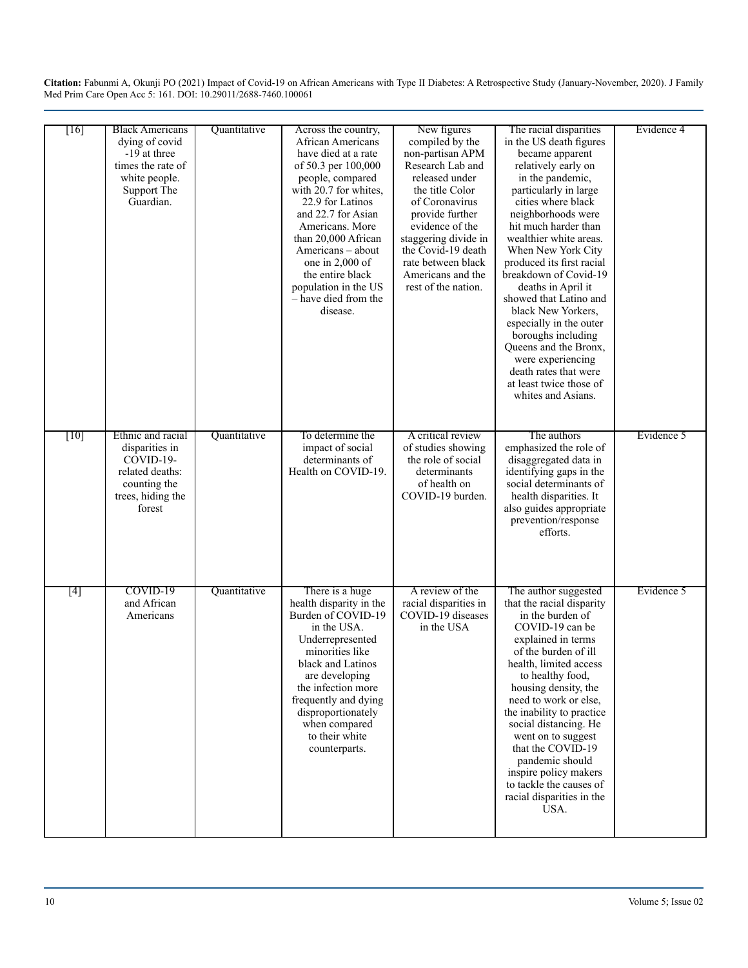| $[16]$             | <b>Black Americans</b><br>dying of covid<br>-19 at three<br>times the rate of<br>white people.<br>Support The<br>Guardian. | Quantitative | Across the country,<br><b>African Americans</b><br>have died at a rate<br>of 50.3 per 100,000<br>people, compared<br>with 20.7 for whites.<br>22.9 for Latinos<br>and 22.7 for Asian<br>Americans. More<br>than 20,000 African<br>Americans - about<br>one in $2,000$ of<br>the entire black<br>population in the US<br>- have died from the<br>disease. | New figures<br>compiled by the<br>non-partisan APM<br>Research Lab and<br>released under<br>the title Color<br>of Coronavirus<br>provide further<br>evidence of the<br>staggering divide in<br>the Covid-19 death<br>rate between black<br>Americans and the<br>rest of the nation. | The racial disparities<br>in the US death figures<br>became apparent<br>relatively early on<br>in the pandemic,<br>particularly in large<br>cities where black<br>neighborhoods were<br>hit much harder than<br>wealthier white areas.<br>When New York City<br>produced its first racial<br>breakdown of Covid-19<br>deaths in April it<br>showed that Latino and<br>black New Yorkers.<br>especially in the outer<br>boroughs including<br>Queens and the Bronx,<br>were experiencing<br>death rates that were<br>at least twice those of<br>whites and Asians. | Evidence 4 |
|--------------------|----------------------------------------------------------------------------------------------------------------------------|--------------|----------------------------------------------------------------------------------------------------------------------------------------------------------------------------------------------------------------------------------------------------------------------------------------------------------------------------------------------------------|-------------------------------------------------------------------------------------------------------------------------------------------------------------------------------------------------------------------------------------------------------------------------------------|-------------------------------------------------------------------------------------------------------------------------------------------------------------------------------------------------------------------------------------------------------------------------------------------------------------------------------------------------------------------------------------------------------------------------------------------------------------------------------------------------------------------------------------------------------------------|------------|
| $\lceil 10 \rceil$ | Ethnic and racial<br>disparities in<br>COVID-19-<br>related deaths:<br>counting the<br>trees, hiding the<br>forest         | Quantitative | To determine the<br>impact of social<br>determinants of<br>Health on COVID-19.                                                                                                                                                                                                                                                                           | A critical review<br>of studies showing<br>the role of social<br>determinants<br>of health on<br>COVID-19 burden.                                                                                                                                                                   | The authors<br>emphasized the role of<br>disaggregated data in<br>identifying gaps in the<br>social determinants of<br>health disparities. It<br>also guides appropriate<br>prevention/response<br>efforts.                                                                                                                                                                                                                                                                                                                                                       | Evidence 5 |
| $[4]$              | COVID-19<br>and African<br>Americans                                                                                       | Quantitative | There is a huge<br>health disparity in the<br>Burden of COVID-19<br>in the USA.<br>Underrepresented<br>minorities like<br>black and Latinos<br>are developing<br>the infection more<br>frequently and dying<br>disproportionately<br>when compared<br>to their white<br>counterparts.                                                                    | A review of the<br>racial disparities in<br>COVID-19 diseases<br>in the USA                                                                                                                                                                                                         | The author suggested<br>that the racial disparity<br>in the burden of<br>COVID-19 can be<br>explained in terms<br>of the burden of ill<br>health, limited access<br>to healthy food,<br>housing density, the<br>need to work or else,<br>the inability to practice<br>social distancing. He<br>went on to suggest<br>that the COVID-19<br>pandemic should<br>inspire policy makers<br>to tackle the causes of<br>racial disparities in the<br>USA.                                                                                                                | Evidence 5 |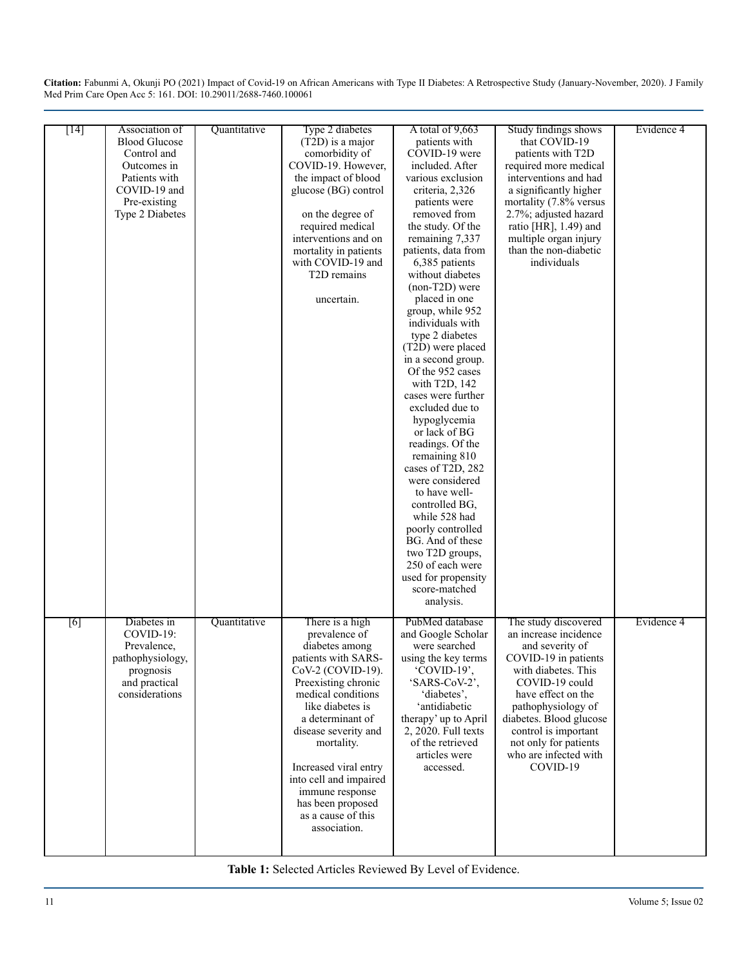| $[14]$ | Association of       | Quantitative | Type 2 diabetes          | A total of $9,663$   | Study findings shows     | Evidence 4 |
|--------|----------------------|--------------|--------------------------|----------------------|--------------------------|------------|
|        | <b>Blood Glucose</b> |              | (T2D) is a major         | patients with        | that COVID-19            |            |
|        | Control and          |              | comorbidity of           | COVID-19 were        | patients with T2D        |            |
|        | Outcomes in          |              | COVID-19. However,       | included. After      | required more medical    |            |
|        | Patients with        |              | the impact of blood      | various exclusion    | interventions and had    |            |
|        | COVID-19 and         |              | glucose (BG) control     | criteria, 2,326      | a significantly higher   |            |
|        | Pre-existing         |              |                          | patients were        | mortality (7.8% versus   |            |
|        | Type 2 Diabetes      |              | on the degree of         | removed from         | 2.7%; adjusted hazard    |            |
|        |                      |              | required medical         | the study. Of the    | ratio [HR], $1.49$ ) and |            |
|        |                      |              | interventions and on     | remaining 7,337      | multiple organ injury    |            |
|        |                      |              | mortality in patients    | patients, data from  | than the non-diabetic    |            |
|        |                      |              | with COVID-19 and        | 6,385 patients       | individuals              |            |
|        |                      |              | T <sub>2</sub> D remains | without diabetes     |                          |            |
|        |                      |              |                          | $(non-T2D)$ were     |                          |            |
|        |                      |              | uncertain.               | placed in one        |                          |            |
|        |                      |              |                          | group, while 952     |                          |            |
|        |                      |              |                          | individuals with     |                          |            |
|        |                      |              |                          | type 2 diabetes      |                          |            |
|        |                      |              |                          | (T2D) were placed    |                          |            |
|        |                      |              |                          | in a second group.   |                          |            |
|        |                      |              |                          | Of the 952 cases     |                          |            |
|        |                      |              |                          | with T2D, 142        |                          |            |
|        |                      |              |                          | cases were further   |                          |            |
|        |                      |              |                          | excluded due to      |                          |            |
|        |                      |              |                          | hypoglycemia         |                          |            |
|        |                      |              |                          | or lack of BG        |                          |            |
|        |                      |              |                          | readings. Of the     |                          |            |
|        |                      |              |                          | remaining 810        |                          |            |
|        |                      |              |                          | cases of T2D, 282    |                          |            |
|        |                      |              |                          | were considered      |                          |            |
|        |                      |              |                          | to have well-        |                          |            |
|        |                      |              |                          | controlled BG,       |                          |            |
|        |                      |              |                          | while 528 had        |                          |            |
|        |                      |              |                          | poorly controlled    |                          |            |
|        |                      |              |                          | BG. And of these     |                          |            |
|        |                      |              |                          | two T2D groups,      |                          |            |
|        |                      |              |                          | 250 of each were     |                          |            |
|        |                      |              |                          | used for propensity  |                          |            |
|        |                      |              |                          | score-matched        |                          |            |
|        |                      |              |                          | analysis.            |                          |            |
|        |                      |              |                          |                      |                          |            |
| [6]    | Diabetes in          | Quantitative | There is a high          | PubMed database      | The study discovered     | Evidence 4 |
|        | COVID-19:            |              | prevalence of            | and Google Scholar   | an increase incidence    |            |
|        | Prevalence,          |              | diabetes among           | were searched        | and severity of          |            |
|        | pathophysiology,     |              | patients with SARS-      | using the key terms  | COVID-19 in patients     |            |
|        | prognosis            |              | CoV-2 (COVID-19).        | 'COVID-19',          | with diabetes. This      |            |
|        | and practical        |              | Preexisting chronic      | 'SARS-CoV-2',        | COVID-19 could           |            |
|        | considerations       |              | medical conditions       | 'diabetes',          | have effect on the       |            |
|        |                      |              | like diabetes is         | 'antidiabetic        | pathophysiology of       |            |
|        |                      |              | a determinant of         | therapy' up to April | diabetes. Blood glucose  |            |
|        |                      |              | disease severity and     | 2, 2020. Full texts  | control is important     |            |
|        |                      |              | mortality.               | of the retrieved     | not only for patients    |            |
|        |                      |              |                          | articles were        | who are infected with    |            |
|        |                      |              | Increased viral entry    | accessed.            | COVID-19                 |            |
|        |                      |              | into cell and impaired   |                      |                          |            |
|        |                      |              | immune response          |                      |                          |            |
|        |                      |              | has been proposed        |                      |                          |            |
|        |                      |              | as a cause of this       |                      |                          |            |
|        |                      |              | association.             |                      |                          |            |
|        |                      |              |                          |                      |                          |            |
|        |                      |              |                          |                      |                          |            |

**Table 1:** Selected Articles Reviewed By Level of Evidence.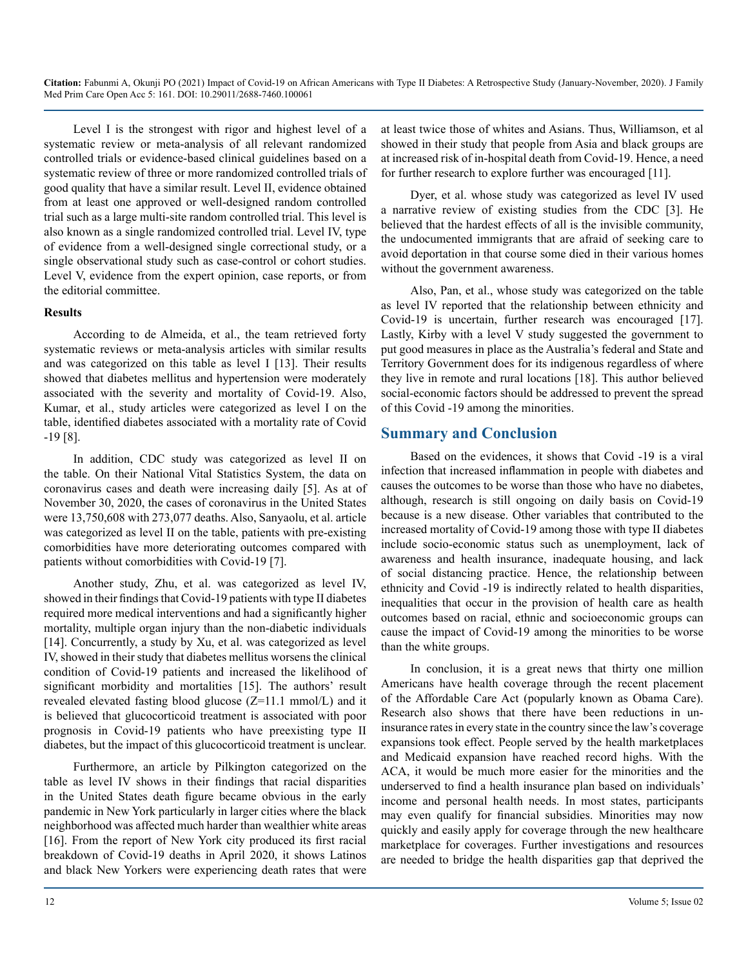Level I is the strongest with rigor and highest level of a systematic review or meta-analysis of all relevant randomized controlled trials or evidence-based clinical guidelines based on a systematic review of three or more randomized controlled trials of good quality that have a similar result. Level II, evidence obtained from at least one approved or well-designed random controlled trial such as a large multi-site random controlled trial. This level is also known as a single randomized controlled trial. Level IV, type of evidence from a well-designed single correctional study, or a single observational study such as case-control or cohort studies. Level V, evidence from the expert opinion, case reports, or from the editorial committee.

#### **Results**

According to de Almeida, et al., the team retrieved forty systematic reviews or meta-analysis articles with similar results and was categorized on this table as level I [13]. Their results showed that diabetes mellitus and hypertension were moderately associated with the severity and mortality of Covid-19. Also, Kumar, et al., study articles were categorized as level I on the table, identified diabetes associated with a mortality rate of Covid -19 [8].

In addition, CDC study was categorized as level II on the table. On their National Vital Statistics System, the data on coronavirus cases and death were increasing daily [5]. As at of November 30, 2020, the cases of coronavirus in the United States were 13,750,608 with 273,077 deaths. Also, Sanyaolu, et al. article was categorized as level II on the table, patients with pre-existing comorbidities have more deteriorating outcomes compared with patients without comorbidities with Covid-19 [7].

Another study, Zhu, et al. was categorized as level IV, showed in their findings that Covid-19 patients with type II diabetes required more medical interventions and had a significantly higher mortality, multiple organ injury than the non-diabetic individuals [14]. Concurrently, a study by Xu, et al. was categorized as level IV, showed in their study that diabetes mellitus worsens the clinical condition of Covid-19 patients and increased the likelihood of significant morbidity and mortalities [15]. The authors' result revealed elevated fasting blood glucose (Z=11.1 mmol/L) and it is believed that glucocorticoid treatment is associated with poor prognosis in Covid-19 patients who have preexisting type II diabetes, but the impact of this glucocorticoid treatment is unclear.

Furthermore, an article by Pilkington categorized on the table as level IV shows in their findings that racial disparities in the United States death figure became obvious in the early pandemic in New York particularly in larger cities where the black neighborhood was affected much harder than wealthier white areas [16]. From the report of New York city produced its first racial breakdown of Covid-19 deaths in April 2020, it shows Latinos and black New Yorkers were experiencing death rates that were at least twice those of whites and Asians. Thus, Williamson, et al showed in their study that people from Asia and black groups are at increased risk of in-hospital death from Covid-19. Hence, a need for further research to explore further was encouraged [11].

Dyer, et al. whose study was categorized as level IV used a narrative review of existing studies from the CDC [3]. He believed that the hardest effects of all is the invisible community, the undocumented immigrants that are afraid of seeking care to avoid deportation in that course some died in their various homes without the government awareness.

Also, Pan, et al., whose study was categorized on the table as level IV reported that the relationship between ethnicity and Covid-19 is uncertain, further research was encouraged [17]. Lastly, Kirby with a level V study suggested the government to put good measures in place as the Australia's federal and State and Territory Government does for its indigenous regardless of where they live in remote and rural locations [18]. This author believed social-economic factors should be addressed to prevent the spread of this Covid -19 among the minorities.

### **Summary and Conclusion**

Based on the evidences, it shows that Covid -19 is a viral infection that increased inflammation in people with diabetes and causes the outcomes to be worse than those who have no diabetes, although, research is still ongoing on daily basis on Covid-19 because is a new disease. Other variables that contributed to the increased mortality of Covid-19 among those with type II diabetes include socio-economic status such as unemployment, lack of awareness and health insurance, inadequate housing, and lack of social distancing practice. Hence, the relationship between ethnicity and Covid -19 is indirectly related to health disparities, inequalities that occur in the provision of health care as health outcomes based on racial, ethnic and socioeconomic groups can cause the impact of Covid-19 among the minorities to be worse than the white groups.

In conclusion, it is a great news that thirty one million Americans have health coverage through the recent placement of the Affordable Care Act (popularly known as Obama Care). Research also shows that there have been reductions in uninsurance rates in every state in the country since the law's coverage expansions took effect. People served by the health marketplaces and Medicaid expansion have reached record highs. With the ACA, it would be much more easier for the minorities and the underserved to find a health insurance plan based on individuals' income and personal health needs. In most states, participants may even qualify for financial subsidies. Minorities may now quickly and easily apply for coverage through the new healthcare marketplace for coverages. Further investigations and resources are needed to bridge the health disparities gap that deprived the